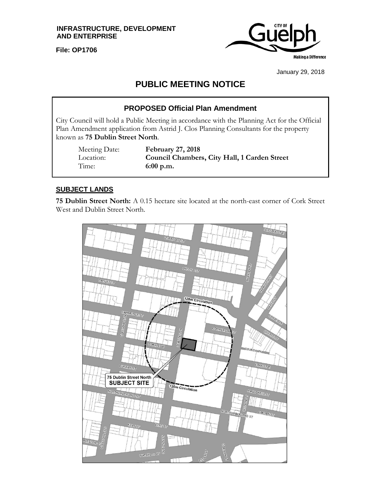**INFRASTRUCTURE, DEVELOPMENT AND ENTERPRISE**

**File: OP1706**



January 29, 2018

# **PUBLIC MEETING NOTICE**

# **PROPOSED Official Plan Amendment**

City Council will hold a Public Meeting in accordance with the Planning Act for the Official Plan Amendment application from Astrid J. Clos Planning Consultants for the property known as **75 Dublin Street North**.

Time: **6:00 p.m.**

Meeting Date: **February 27, 2018** Location: **Council Chambers, City Hall, 1 Carden Street**

### **SUBJECT LANDS**

**75 Dublin Street North:** A 0.15 hectare site located at the north-east corner of Cork Street West and Dublin Street North.

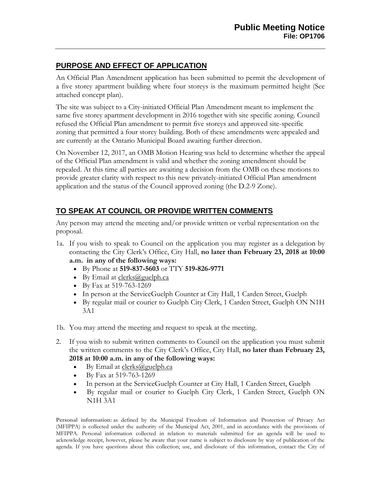# **PURPOSE AND EFFECT OF APPLICATION**

An Official Plan Amendment application has been submitted to permit the development of a five storey apartment building where four storeys is the maximum permitted height (See attached concept plan).

The site was subject to a City-initiated Official Plan Amendment meant to implement the same five storey apartment development in 2016 together with site specific zoning. Council refused the Official Plan amendment to permit five storeys and approved site-specific zoning that permitted a four storey building. Both of these amendments were appealed and are currently at the Ontario Municipal Board awaiting further direction.

On November 12, 2017, an OMB Motion Hearing was held to determine whether the appeal of the Official Plan amendment is valid and whether the zoning amendment should be repealed. At this time all parties are awaiting a decision from the OMB on these motions to provide greater clarity with respect to this new privately-initiated Official Plan amendment application and the status of the Council approved zoning (the D.2-9 Zone).

# **TO SPEAK AT COUNCIL OR PROVIDE WRITTEN COMMENTS**

Any person may attend the meeting and/or provide written or verbal representation on the proposal.

1a. If you wish to speak to Council on the application you may register as a delegation by contacting the City Clerk's Office, City Hall, **no later than February 23, 2018 at 10:00** 

#### **a.m. in any of the following ways:**

- By Phone at **519-837-5603** or TTY **519-826-9771**
- By Email at  $\frac{\text{clerks}(a)$  guelph.ca
- By Fax at 519-763-1269
- In person at the ServiceGuelph Counter at City Hall, 1 Carden Street, Guelph
- By regular mail or courier to Guelph City Clerk, 1 Carden Street, Guelph ON N1H 3A1
- 1b. You may attend the meeting and request to speak at the meeting.
- 2. If you wish to submit written comments to Council on the application you must submit the written comments to the City Clerk's Office, City Hall, **no later than February 23, 2018 at 10:00 a.m. in any of the following ways:**
	- By Email at  $\text{clerks}(a)$  guelph.ca
	- By Fax at 519-763-1269
	- In person at the ServiceGuelph Counter at City Hall, 1 Carden Street, Guelph
	- By regular mail or courier to Guelph City Clerk, 1 Carden Street, Guelph ON N1H 3A1

**Personal information:** as defined by the Municipal Freedom of Information and Protection of Privacy Act (MFIPPA) is collected under the authority of the Municipal Act, 2001, and in accordance with the provisions of MFIPPA. Personal information collected in relation to materials submitted for an agenda will be used to acknowledge receipt, however, please be aware that your name is subject to disclosure by way of publication of the agenda. If you have questions about this collection; use, and disclosure of this information, contact the City of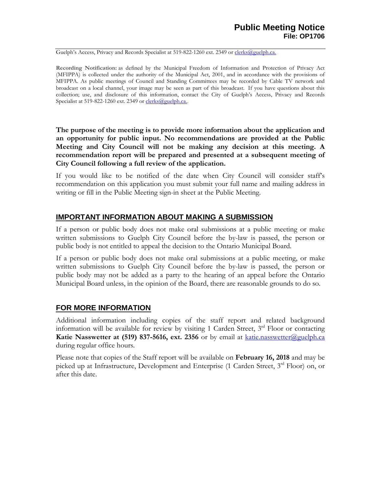Guelph's Access, Privacy and Records Specialist at 519-822-1260 ext. 2349 or [clerks@guelph.ca.](mailto:clerks@guelph.ca)

**Recording Notification:** as defined by the Municipal Freedom of Information and Protection of Privacy Act (MFIPPA) is collected under the authority of the Municipal Act, 2001, and in accordance with the provisions of MFIPPA. As public meetings of Council and Standing Committees may be recorded by Cable TV network and broadcast on a local channel, your image may be seen as part of this broadcast. If you have questions about this collection; use, and disclosure of this information, contact the City of Guelph's Access, Privacy and Records Specialist at 519-822-1260 ext. 2349 or [clerks@guelph.ca..](mailto:clerks@guelph.ca)

**The purpose of the meeting is to provide more information about the application and an opportunity for public input. No recommendations are provided at the Public Meeting and City Council will not be making any decision at this meeting. A recommendation report will be prepared and presented at a subsequent meeting of City Council following a full review of the application.** 

If you would like to be notified of the date when City Council will consider staff's recommendation on this application you must submit your full name and mailing address in writing or fill in the Public Meeting sign-in sheet at the Public Meeting.

#### **IMPORTANT INFORMATION ABOUT MAKING A SUBMISSION**

If a person or public body does not make oral submissions at a public meeting or make written submissions to Guelph City Council before the by-law is passed, the person or public body is not entitled to appeal the decision to the Ontario Municipal Board.

If a person or public body does not make oral submissions at a public meeting, or make written submissions to Guelph City Council before the by-law is passed, the person or public body may not be added as a party to the hearing of an appeal before the Ontario Municipal Board unless, in the opinion of the Board, there are reasonable grounds to do so.

# **FOR MORE INFORMATION**

Additional information including copies of the staff report and related background information will be available for review by visiting 1 Carden Street,  $3<sup>rd</sup>$  Floor or contacting **Katie Nasswetter at (519) 837-5616, ext. 2356** or by email at [katie.nasswetter@guelph.ca](mailto:katie.nasswetter@guelph.ca) during regular office hours.

Please note that copies of the Staff report will be available on **February 16, 2018** and may be picked up at Infrastructure, Development and Enterprise (1 Carden Street, 3rd Floor) on, or after this date.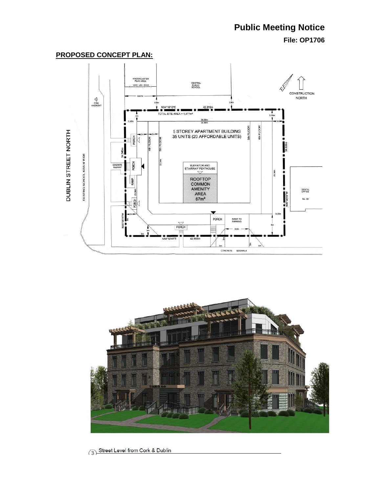# **Public Meeting Notice**

**File: OP1706**

#### **PROPOSED CONCEPT PLAN:**





3 Street Level from Cork & Dublin